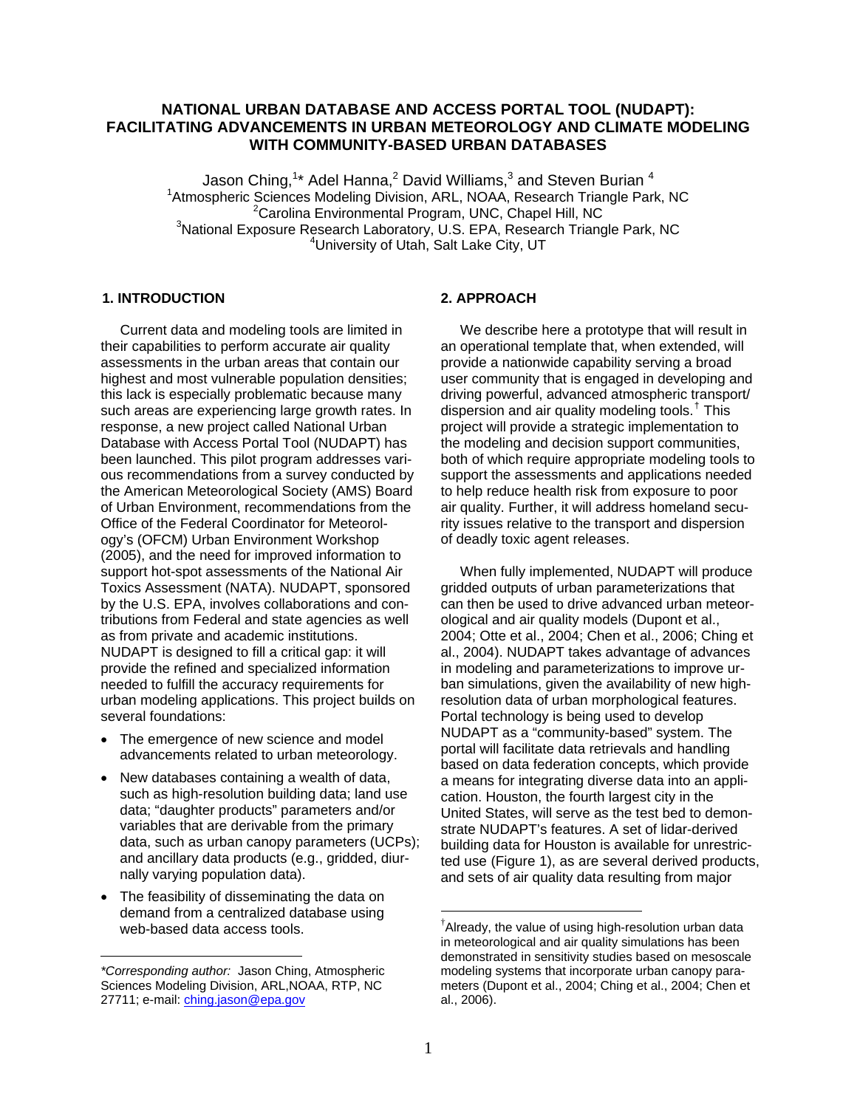# **NATIONAL URBAN DATABASE AND ACCESS PORTAL TOOL (NUDAPT): FACILITATING ADVANCEMENTS IN URBAN METEOROLOGY AND CLIMATE MODELING WITH COMMUNITY-BASED URBAN DATABASES**

Jason Ching,<sup>1\*</sup> Adel Hanna,<sup>2</sup> David Williams,<sup>3</sup> and Steven Burian <sup>4</sup> <sup>1</sup> Atmospheric Sciences Modeling Division, ARL, NOAA, Research Triangle Park, NC  $2$ Carolina Environmental Program, UNC, Chapel Hill, NC  $3$ National Exposure Research Laboratory, U.S. EPA, Research Triangle Park, NC <sup>4</sup>University of Utah, Salt Lake City, UT

### **1. INTRODUCTION**

 Current data and modeling tools are limited in their capabilities to perform accurate air quality assessments in the urban areas that contain our highest and most vulnerable population densities; this lack is especially problematic because many such areas are experiencing large growth rates. In response, a new project called National Urban Database with Access Portal Tool (NUDAPT) has been launched. This pilot program addresses various recommendations from a survey conducted by the American Meteorological Society (AMS) Board of Urban Environment, recommendations from the Office of the Federal Coordinator for Meteorology's (OFCM) Urban Environment Workshop (2005), and the need for improved information to support hot-spot assessments of the National Air Toxics Assessment (NATA). NUDAPT, sponsored by the U.S. EPA, involves collaborations and contributions from Federal and state agencies as well as from private and academic institutions. NUDAPT is designed to fill a critical gap: it will provide the refined and specialized information needed to fulfill the accuracy requirements for urban modeling applications. This project builds on several foundations:

- The emergence of new science and model advancements related to urban meteorology.
- New databases containing a wealth of data, such as high-resolution building data; land use data; "daughter products" parameters and/or variables that are derivable from the primary data, such as urban canopy parameters (UCPs); and ancillary data products (e.g., gridded, diurnally varying population data).
- <span id="page-0-0"></span>• The feasibility of disseminating the data on demand from a centralized database using web-based data access tools.

 $\overline{a}$ 

#### **2. APPROACH**

 We describe here a prototype that will result in an operational template that, when extended, will provide a nationwide capability serving a broad user community that is engaged in developing and driving powerful, advanced atmospheric transport/ dispersion and air quality modeling tools.<sup>[†](#page-0-0)</sup> This project will provide a strategic implementation to the modeling and decision support communities, both of which require appropriate modeling tools to support the assessments and applications needed to help reduce health risk from exposure to poor air quality. Further, it will address homeland security issues relative to the transport and dispersion of deadly toxic agent releases.

 When fully implemented, NUDAPT will produce gridded outputs of urban parameterizations that can then be used to drive advanced urban meteorological and air quality models (Dupont et al., 2004; Otte et al., 2004; Chen et al., 2006; Ching et al., 2004). NUDAPT takes advantage of advances in modeling and parameterizations to improve urban simulations, given the availability of new highresolution data of urban morphological features. Portal technology is being used to develop NUDAPT as a "community-based" system. The portal will facilitate data retrievals and handling based on data federation concepts, which provide a means for integrating diverse data into an application. Houston, the fourth largest city in the United States, will serve as the test bed to demonstrate NUDAPT's features. A set of lidar-derived building data for Houston is available for unrestricted use (Figure 1), as are several derived products, and sets of air quality data resulting from major

 $\overline{a}$ 

*<sup>\*</sup>Corresponding author:* Jason Ching, Atmospheric Sciences Modeling Division, ARL,NOAA, RTP, NC 27711; e-mail: [ching.jason@epa.gov](mailto:ching.jason@epa.gov)

<sup>†</sup> Already, the value of using high-resolution urban data in meteorological and air quality simulations has been demonstrated in sensitivity studies based on mesoscale modeling systems that incorporate urban canopy parameters (Dupont et al., 2004; Ching et al., 2004; Chen et al., 2006).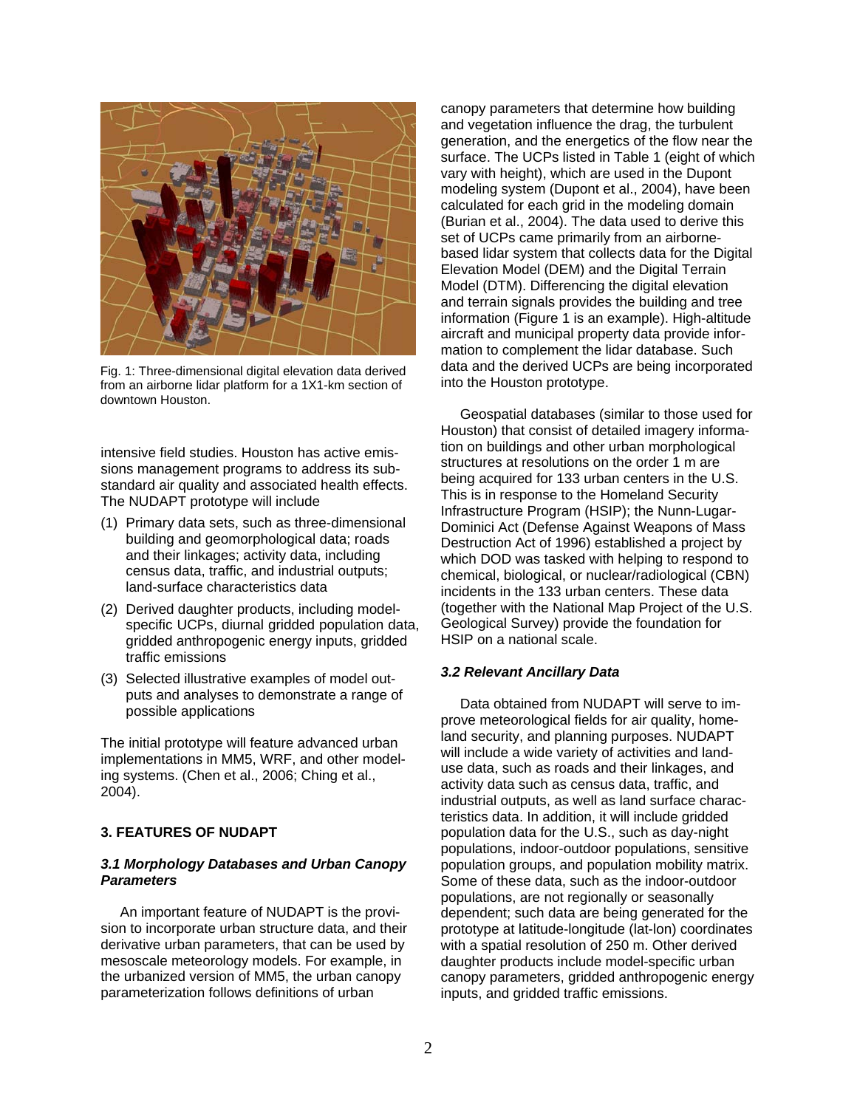

Fig. 1: Three-dimensional digital elevation data derived and diala and the derived OCP's<br>from an airborne lidar platform for a 1X1-km section of and the Houston prototype. downtown Houston.

intensive field studies. Houston has active emissions management programs to address its substandard air quality and associated health effects. The NUDAPT prototype will include

- (1) Primary data sets, such as three-dimensional building and geomorphological data; roads and their linkages; activity data, including census data, traffic, and industrial outputs; land-surface characteristics data
- (2) Derived daughter products, including modelspecific UCPs, diurnal gridded population data, gridded anthropogenic energy inputs, gridded traffic emissions
- (3) Selected illustrative examples of model outputs and analyses to demonstrate a range of possible applications

The initial prototype will feature advanced urban implementations in MM5, WRF, and other modeling systems. (Chen et al., 2006; Ching et al., 2004).

# **3. FEATURES OF NUDAPT**

# *3.1 Morphology Databases and Urban Canopy Parameters*

 An important feature of NUDAPT is the provision to incorporate urban structure data, and their derivative urban parameters, that can be used by mesoscale meteorology models. For example, in the urbanized version of MM5, the urban canopy parameterization follows definitions of urban

canopy parameters that determine how building and vegetation influence the drag, the turbulent generation, and the energetics of the flow near the surface. The UCPs listed in Table 1 (eight of which vary with height), which are used in the Dupont modeling system (Dupont et al., 2004), have been calculated for each grid in the modeling domain (Burian et al., 2004). The data used to derive this set of UCPs came primarily from an airbornebased lidar system that collects data for the Digital Elevation Model (DEM) and the Digital Terrain Model (DTM). Differencing the digital elevation and terrain signals provides the building and tree information (Figure 1 is an example). High-altitude aircraft and municipal property data provide information to complement the lidar database. Such data and the derived UCPs are being incorporated

 Geospatial databases (similar to those used for Houston) that consist of detailed imagery information on buildings and other urban morphological structures at resolutions on the order 1 m are being acquired for 133 urban centers in the U.S. This is in response to the Homeland Security Infrastructure Program (HSIP); the Nunn-Lugar-Dominici Act (Defense Against Weapons of Mass Destruction Act of 1996) established a project by which DOD was tasked with helping to respond to chemical, biological, or nuclear/radiological (CBN) incidents in the 133 urban centers. These data (together with the National Map Project of the U.S. Geological Survey) provide the foundation for HSIP on a national scale.

### *3.2 Relevant Ancillary Data*

 Data obtained from NUDAPT will serve to improve meteorological fields for air quality, homeland security, and planning purposes. NUDAPT will include a wide variety of activities and landuse data, such as roads and their linkages, and activity data such as census data, traffic, and industrial outputs, as well as land surface characteristics data. In addition, it will include gridded population data for the U.S., such as day-night populations, indoor-outdoor populations, sensitive population groups, and population mobility matrix. Some of these data, such as the indoor-outdoor populations, are not regionally or seasonally dependent; such data are being generated for the prototype at latitude-longitude (lat-lon) coordinates with a spatial resolution of 250 m. Other derived daughter products include model-specific urban canopy parameters, gridded anthropogenic energy inputs, and gridded traffic emissions.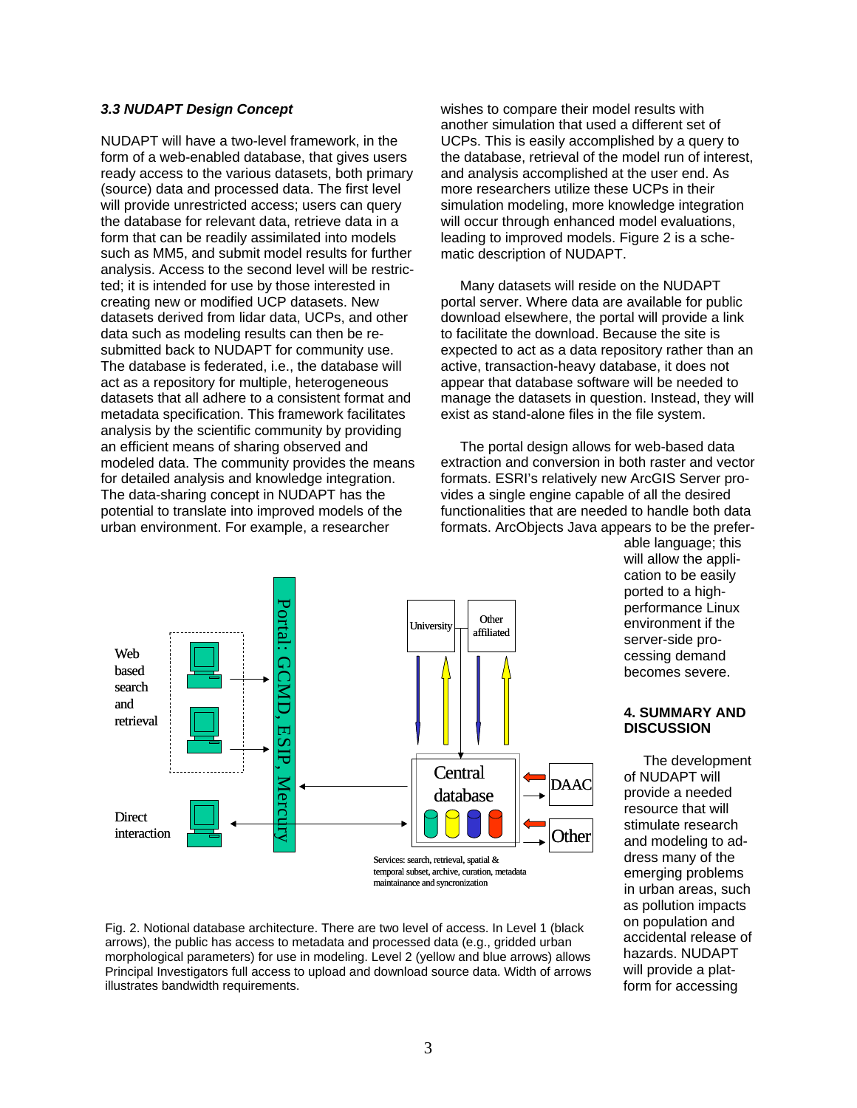# *3.3 NUDAPT Design Concept*

NUDAPT will have a two-level framework, in the form of a web-enabled database, that gives users ready access to the various datasets, both primary (source) data and processed data. The first level will provide unrestricted access; users can query the database for relevant data, retrieve data in a form that can be readily assimilated into models such as MM5, and submit model results for further analysis. Access to the second level will be restricted; it is intended for use by those interested in creating new or modified UCP datasets. New datasets derived from lidar data, UCPs, and other data such as modeling results can then be resubmitted back to NUDAPT for community use. The database is federated, i.e., the database will act as a repository for multiple, heterogeneous datasets that all adhere to a consistent format and metadata specification. This framework facilitates analysis by the scientific community by providing an efficient means of sharing observed and modeled data. The community provides the means for detailed analysis and knowledge integration. The data-sharing concept in NUDAPT has the potential to translate into improved models of the urban environment. For example, a researcher

wishes to compare their model results with another simulation that used a different set of UCPs. This is easily accomplished by a query to the database, retrieval of the model run of interest, and analysis accomplished at the user end. As more researchers utilize these UCPs in their simulation modeling, more knowledge integration will occur through enhanced model evaluations. leading to improved models. Figure 2 is a schematic description of NUDAPT.

 Many datasets will reside on the NUDAPT portal server. Where data are available for public download elsewhere, the portal will provide a link to facilitate the download. Because the site is expected to act as a data repository rather than an active, transaction-heavy database, it does not appear that database software will be needed to manage the datasets in question. Instead, they will exist as stand-alone files in the file system.

 The portal design allows for web-based data extraction and conversion in both raster and vector formats. ESRI's relatively new ArcGIS Server provides a single engine capable of all the desired functionalities that are needed to handle both data formats. ArcObjects Java appears to be the prefer-



able language; this will allow the application to be easily ported to a highperformance Linux environment if the server-side processing demand becomes severe.

# **4. SUMMARY AND DISCUSSION**

 The development of NUDAPT will provide a needed resource that will stimulate research and modeling to address many of the emerging problems in urban areas, such as pollution impacts on population and accidental release of hazards. NUDAPT will provide a platform for accessing

Fig. 2. Notional database architecture. There are two level of access. In Level 1 (black arrows), the public has access to metadata and processed data (e.g., gridded urban morphological parameters) for use in modeling. Level 2 (yellow and blue arrows) allows Principal Investigators full access to upload and download source data. Width of arrows illustrates bandwidth requirements.